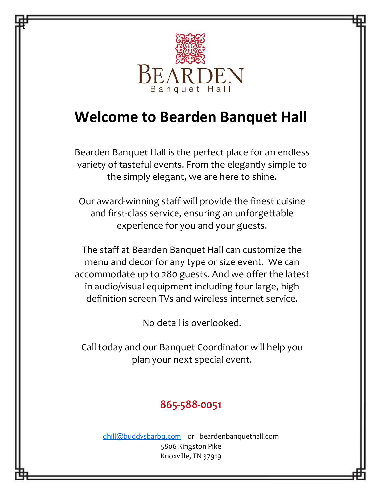

z

# **Welcome to Bearden Banquet Hall**

Bearden Banquet Hall is the perfect place for an endless variety of tasteful events. From the elegantly simple to the simply elegant, we are here to shine.

Our award-winning staff will provide the finest cuisine and first-class service, ensuring an unforgettable experience for you and your guests.

The staff at Bearden Banquet Hall can customize the menu and decor for any type or size event. We can accommodate up to 280 guests. And we offer the latest in audio/visual equipment including four large, high definition screen TVs and wireless internet service.

No detail is overlooked.

Call today and our Banquet Coordinator will help you plan your next special event.

# **865-588-0051**

[dhill@buddysbarbq.com](mailto:dhill@buddysbarbq.com) or beardenbanquethall.com 5806 Kingston Pike Knoxville, TN 37919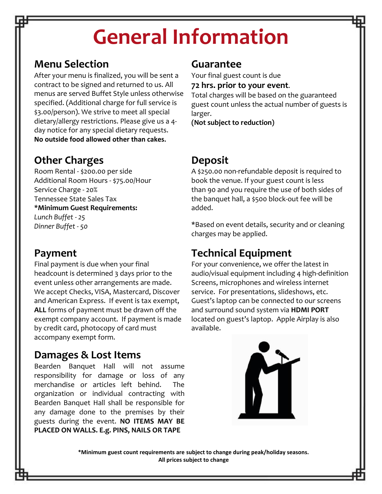# **General Information**

## **Menu Selection**

After your menu is finalized, you will be sent a contract to be signed and returned to us. All menus are served Buffet Style unless otherwise specified. (Additional charge for full service is \$3.00/person). We strive to meet all special dietary/allergy restrictions. Please give us a 4 day notice for any special dietary requests. **No outside food allowed other than cakes.**

## **Other Charges**

Room Rental - \$200.00 per side Additional Room Hours - \$75.00/Hour Service Charge - 20% Tennessee State Sales Tax **\*Minimum Guest Requirements:** *Lunch Buffet - 25 Dinner Buffet - 50*

## **Payment**

Final payment is due when your final headcount is determined 3 days prior to the event unless other arrangements are made. We accept Checks, VISA, Mastercard, Discover and American Express. If event is tax exempt, **ALL** forms of payment must be drawn off the exempt company account. If payment is made by credit card, photocopy of card must accompany exempt form.

## **Damages & Lost Items**

Bearden Banquet Hall will not assume responsibility for damage or loss of any merchandise or articles left behind. The organization or individual contracting with Bearden Banquet Hall shall be responsible for any damage done to the premises by their guests during the event. **NO ITEMS MAY BE PLACED ON WALLS. E.g. PINS, NAILS OR TAPE**

### **Guarantee**

Your final guest count is due

#### **72 hrs. prior to your event**.

Total charges will be based on the guaranteed guest count unless the actual number of guests is larger.

**(Not subject to reduction)**

## **Deposit**

A \$250.00 non-refundable deposit is required to book the venue. If your guest count is less than 90 and you require the use of both sides of the banquet hall, a \$500 block-out fee will be added.

\*Based on event details, security and or cleaning charges may be applied.

# **Technical Equipment**

For your convenience, we offer the latest in audio/visual equipment including 4 high-definition Screens, microphones and wireless internet service. For presentations, slideshows, etc. Guest's laptop can be connected to our screens and surround sound system via **HDMI PORT** located on guest's laptop. Apple Airplay is also available.



**\*Minimum guest count requirements are subject to change during peak/holiday seasons. All prices subject to change**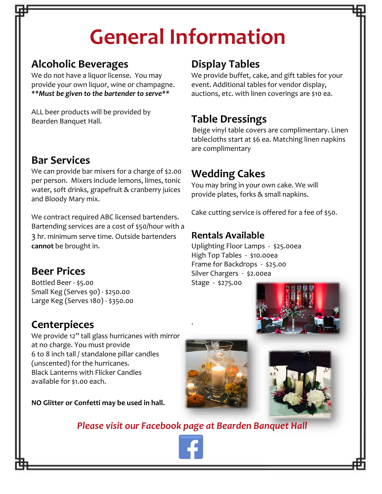# **General Information**

# **Alcoholic Beverages**

We do not have a liquor license. You may provide your own liquor, wine or champagne. *\*\*Must be given to the bartender to serve\*\**

ALL beer products will be provided by Bearden Banquet Hall.

# **Bar Services**

We can provide bar mixers for a charge of \$2.00 per person. Mixers include lemons, limes, tonic water, soft drinks, grapefruit & cranberry juices and Bloody Mary mix.

We contract required ABC licensed bartenders. Bartending services are a cost of \$50/hour with a 3 hr. minimum serve time. Outside bartenders **cannot** be brought in.

## **Beer Prices**

Bottled Beer - \$5.00 Small Keg (Serves 90) - \$250.00 Large Keg (Serves 180) - \$350.00

## **Centerpieces**

We provide 12" tall glass hurricanes with mirror at no charge. You must provide 6 to 8 inch tall / standalone pillar candles (unscented) for the hurricanes. Black Lanterns with Flicker Candles available for \$1.00 each.

**NO Glitter or Confetti may be used in hall.**

# **Display Tables**

We provide buffet, cake, and gift tables for your event. Additional tables for vendor display, auctions, etc. with linen coverings are \$10 ea.

# **Table Dressings**

Beige vinyl table covers are complimentary. Linen tablecloths start at \$6 ea. Matching linen napkins are complimentary

# **Wedding Cakes**

You may bring in your own cake. We will provide plates, forks & small napkins.

Cake cutting service is offered for a fee of \$50.

### **Rentals Available**

Uplighting Floor Lamps - \$25.00ea High Top Tables - \$10.00ea Frame for Backdrops - \$25.00 Silver Chargers - \$2.00ea

Stage - \$275.00







*Please visit our Facebook page at Bearden Banquet Hall* 

.

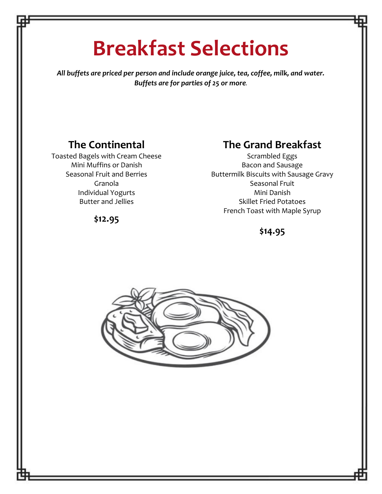# **Breakfast Selections**

*All buffets are priced per person and include orange juice, tea, coffee, milk, and water. Buffets are for parties of 25 or more.*

## **The Continental**

Toasted Bagels with Cream Cheese Mini Muffins or Danish Seasonal Fruit and Berries Granola Individual Yogurts Butter and Jellies

## **The Grand Breakfast**

Scrambled Eggs Bacon and Sausage Buttermilk Biscuits with Sausage Gravy Seasonal Fruit Mini Danish Skillet Fried Potatoes French Toast with Maple Syrup

**\$12.95**

#### **\$14.95**

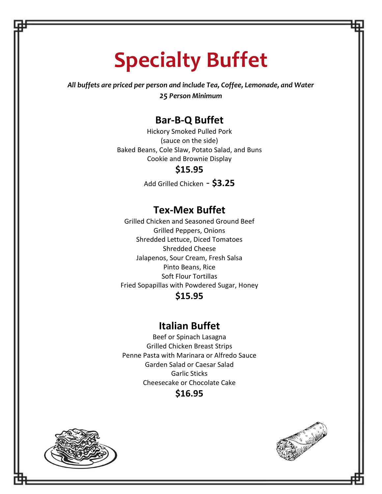# **Specialty Buffet**

*All buffets are priced per person and include Tea, Coffee, Lemonade, and Water 25 Person Minimum*

### **Bar-B-Q Buffet**

Hickory Smoked Pulled Pork (sauce on the side) Baked Beans, Cole Slaw, Potato Salad, and Buns Cookie and Brownie Display

#### **\$15.95**

Add Grilled Chicken - **\$3.25**

### **Tex-Mex Buffet**

Grilled Chicken and Seasoned Ground Beef Grilled Peppers, Onions Shredded Lettuce, Diced Tomatoes Shredded Cheese Jalapenos, Sour Cream, Fresh Salsa Pinto Beans, Rice Soft Flour Tortillas Fried Sopapillas with Powdered Sugar, Honey

#### **\$15.95**

#### **Italian Buffet**

Beef or Spinach Lasagna Grilled Chicken Breast Strips Penne Pasta with Marinara or Alfredo Sauce Garden Salad or Caesar Salad Garlic Sticks Cheesecake or Chocolate Cake





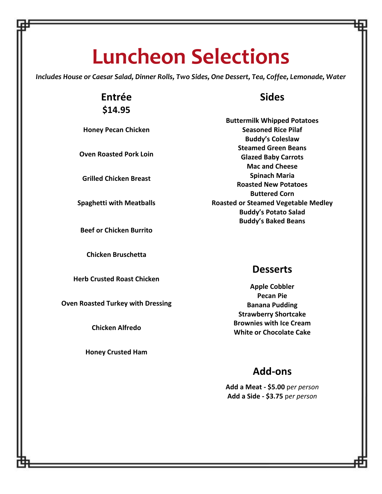# **Luncheon Selections**

*Includes House or Caesar Salad, Dinner Rolls, Two Sides, One Dessert, Tea, Coffee, Lemonade, Water*

### **Entrée \$14.95**

**Honey Pecan Chicken**

**Oven Roasted Pork Loin**

**Grilled Chicken Breast**

**Spaghetti with Meatballs**

**Beef or Chicken Burrito**

**Chicken Bruschetta**

**Herb Crusted Roast Chicken**

**Oven Roasted Turkey with Dressing**

**Chicken Alfredo**

**Honey Crusted Ham**

#### **Sides**

**Buttermilk Whipped Potatoes Seasoned Rice Pilaf Buddy's Coleslaw Steamed Green Beans Glazed Baby Carrots Mac and Cheese Spinach Maria Roasted New Potatoes Buttered Corn Roasted or Steamed Vegetable Medley Buddy's Potato Salad Buddy's Baked Beans**

#### **Desserts**

**Apple Cobbler Pecan Pie Banana Pudding Strawberry Shortcake Brownies with Ice Cream White or Chocolate Cake**

### **Add-ons**

**Add a Meat - \$5.00** p*er person* **Add a Side - \$3.75** p*er person*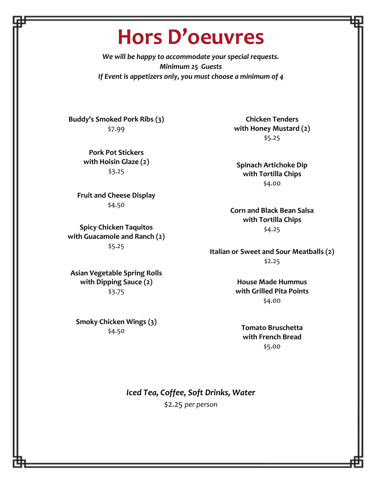# **Hors D'oeuvres**

*We will be happy to accommodate your special requests. Minimum 25 Guests If Event is appetizers only, you must choose a minimum of 4*

**Buddy's Smoked Pork Ribs (3)** \$7.99

> **Pork Pot Stickers with Hoisin Glaze (2)** \$3.25

**Fruit and Cheese Display** \$4.50

**Spicy Chicken Taquitos with Guacamole and Ranch (2)** \$5.25

**Asian Vegetable Spring Rolls with Dipping Sauce (2)** \$3.75

**Smoky Chicken Wings (3)** \$4.50

**Chicken Tenders with Honey Mustard (2)** \$5.25

**Spinach Artichoke Dip with Tortilla Chips**  \$4.00

**Corn and Black Bean Salsa with Tortilla Chips** \$4.25

**Italian or Sweet and Sour Meatballs (2)** \$2.25

> **House Made Hummus with Grilled Pita Points** \$4.00

**Tomato Bruschetta with French Bread** \$5.00

*Iced Tea, Coffee, Soft Drinks, Water* \$2.25 *per person*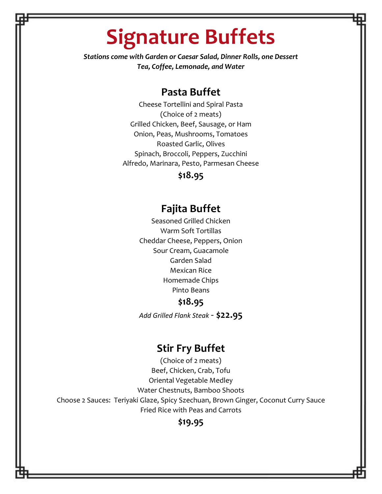# **Signature Buffets**

*Stations come with Garden or Caesar Salad, Dinner Rolls, one Dessert Tea, Coffee, Lemonade, and Water* 

#### **Pasta Buffet**

Cheese Tortellini and Spiral Pasta (Choice of 2 meats) Grilled Chicken, Beef, Sausage, or Ham Onion, Peas, Mushrooms, Tomatoes Roasted Garlic, Olives Spinach, Broccoli, Peppers, Zucchini Alfredo, Marinara, Pesto, Parmesan Cheese

#### **\$18.95**

### **Fajita Buffet**

Seasoned Grilled Chicken Warm Soft Tortillas Cheddar Cheese, Peppers, Onion Sour Cream, Guacamole Garden Salad Mexican Rice Homemade Chips Pinto Beans

#### **\$18.95**

*Add Grilled Flank Steak -* **\$22.95**

#### **Stir Fry Buffet**

(Choice of 2 meats) Beef, Chicken, Crab, Tofu Oriental Vegetable Medley Water Chestnuts, Bamboo Shoots Choose 2 Sauces: Teriyaki Glaze, Spicy Szechuan, Brown Ginger, Coconut Curry Sauce Fried Rice with Peas and Carrots

#### **\$19.95**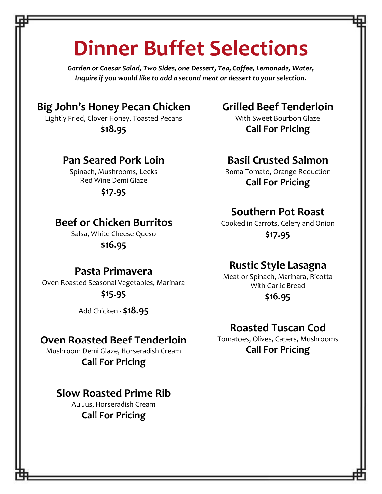# **Dinner Buffet Selections**

*Garden or Caesar Salad, Two Sides, one Dessert, Tea, Coffee, Lemonade, Water, Inquire if you would like to add a second meat or dessert to your selection.*

## **Big John's Honey Pecan Chicken**

Lightly Fried, Clover Honey, Toasted Pecans **\$18.95**

### **Pan Seared Pork Loin**

Spinach, Mushrooms, Leeks Red Wine Demi Glaze

**\$17.95**

## **Beef or Chicken Burritos**

Salsa, White Cheese Queso **\$16.95**

### **Pasta Primavera**

Oven Roasted Seasonal Vegetables, Marinara **\$15.95**

Add Chicken - **\$18.95**

#### **Oven Roasted Beef Tenderloin**

Mushroom Demi Glaze, Horseradish Cream **Call For Pricing**

### **Slow Roasted Prime Rib**

Au Jus, Horseradish Cream **Call For Pricing**

## **Grilled Beef Tenderloin**

With Sweet Bourbon Glaze **Call For Pricing**

## **Basil Crusted Salmon**

Roma Tomato, Orange Reduction **Call For Pricing**

### **Southern Pot Roast**

Cooked in Carrots, Celery and Onion **\$17.95**

### **Rustic Style Lasagna**

Meat or Spinach, Marinara, Ricotta With Garlic Bread

**\$16.95**

### **Roasted Tuscan Cod**

Tomatoes, Olives, Capers, Mushrooms **Call For Pricing**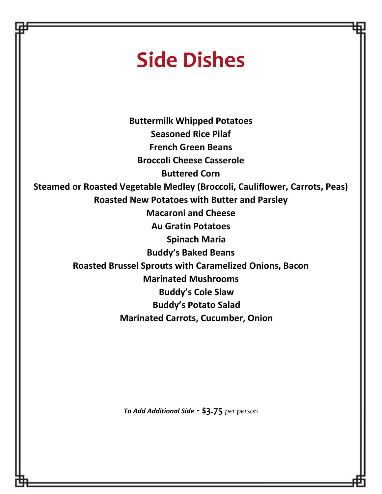# **Side Dishes**

**Buttermilk Whipped Potatoes Seasoned Rice Pilaf French Green Beans Broccoli Cheese Casserole Buttered Corn Steamed or Roasted Vegetable Medley (Broccoli, Cauliflower, Carrots, Peas) Roasted New Potatoes with Butter and Parsley Macaroni and Cheese Au Gratin Potatoes Spinach Maria Buddy's Baked Beans Roasted Brussel Sprouts with Caramelized Onions, Bacon Marinated Mushrooms Buddy's Cole Slaw Buddy's Potato Salad Marinated Carrots, Cucumber, Onion**

*To Add Additional Side -* **\$3.75** *per person*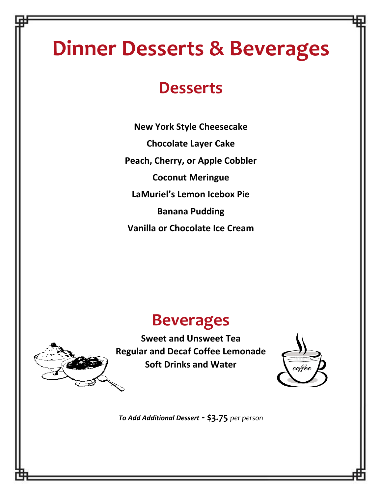# **Dinner Desserts & Beverages**

# **Desserts**

**New York Style Cheesecake Chocolate Layer Cake Peach, Cherry, or Apple Cobbler Coconut Meringue LaMuriel's Lemon Icebox Pie Banana Pudding Vanilla or Chocolate Ice Cream**

# **Beverages**

**Sweet and Unsweet Tea Regular and Decaf Coffee Lemonade Soft Drinks and Water**



*To Add Additional Dessert -* **\$3.75** *per person*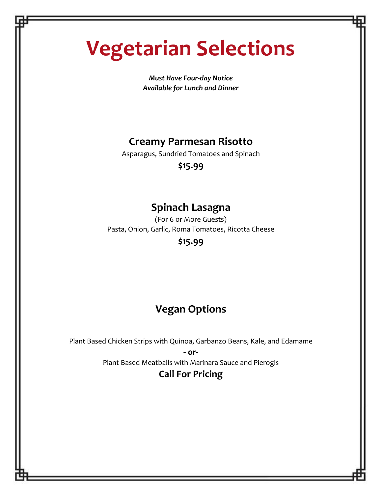# **Vegetarian Selections**

*Must Have Four-day Notice Available for Lunch and Dinner*

# **Creamy Parmesan Risotto**

Asparagus, Sundried Tomatoes and Spinach

**\$15.99**

## **Spinach Lasagna**

(For 6 or More Guests) Pasta, Onion, Garlic, Roma Tomatoes, Ricotta Cheese **\$15.99**

# **Vegan Options**

Plant Based Chicken Strips with Quinoa, Garbanzo Beans, Kale, and Edamame **- or-**

Plant Based Meatballs with Marinara Sauce and Pierogis

### **Call For Pricing**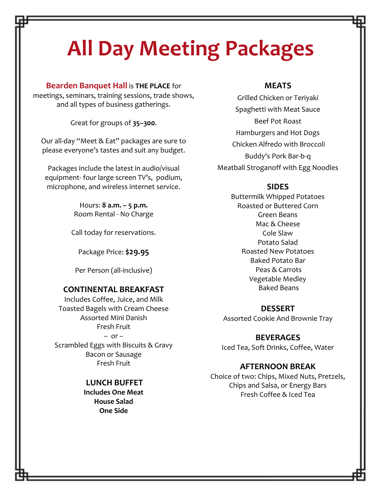# **All Day Meeting Packages**

**Bearden Banquet Hall** is **THE PLACE** for meetings, seminars, training sessions, trade shows, and all types of business gatherings.

Great for groups of **35–300**.

Our all-day "Meet & Eat" packages are sure to please everyone's tastes and suit any budget.

Packages include the latest in audio/visual equipment- four large screen TV's, podium, microphone, and wireless internet service.

> Hours: **8 a.m. – 5 p.m.** Room Rental - No Charge

Call today for reservations.

Package Price: **\$29.95**

Per Person (all-inclusive)

#### **CONTINENTAL BREAKFAST**

Includes Coffee, Juice, and Milk Toasted Bagels with Cream Cheese Assorted Mini Danish Fresh Fruit  $-$  or  $-$ Scrambled Eggs with Biscuits & Gravy Bacon or Sausage Fresh Fruit

> **LUNCH BUFFET Includes One Meat House Salad One Side**

#### **MEATS**

Grilled Chicken or Teriyaki Spaghetti with Meat Sauce Beef Pot Roast Hamburgers and Hot Dogs Chicken Alfredo with Broccoli Buddy's Pork Bar-b-q Meatball Stroganoff with Egg Noodles

#### **SIDES**

Buttermilk Whipped Potatoes Roasted or Buttered Corn Green Beans Mac & Cheese Cole Slaw Potato Salad Roasted New Potatoes Baked Potato Bar Peas & Carrots Vegetable Medley Baked Beans

#### **DESSERT**

Assorted Cookie And Brownie Tray

**BEVERAGES** Iced Tea, Soft Drinks, Coffee, Water

#### **AFTERNOON BREAK**

Choice of two: Chips, Mixed Nuts, Pretzels, Chips and Salsa, or Energy Bars Fresh Coffee & Iced Tea